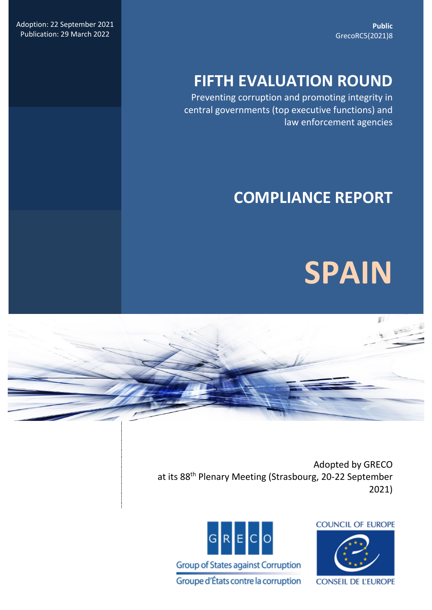**Public** GrecoRC5(2021)8

Adoption: 22 September 2021 Publication: 29 March 2022

# **FIFTH EVALUATION ROUND**

Preventing corruption and promoting integrity in central governments (top executive functions) and law enforcement agencies

# **COMPLIANCE REPORT**





Adopted by GRECO at its 88<sup>th</sup> Plenary Meeting (Strasbourg, 20-22 September 2021)





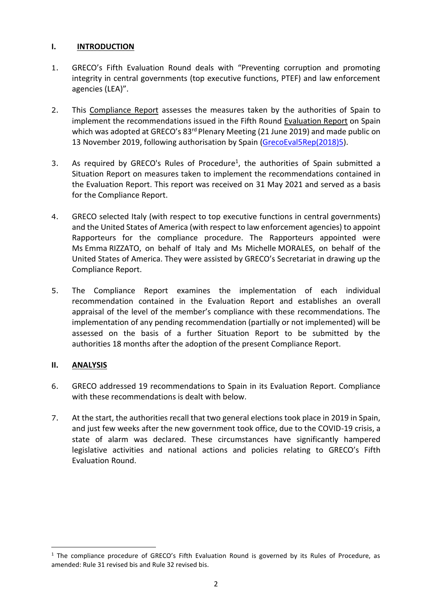## **I. INTRODUCTION**

- 1. GRECO's Fifth Evaluation Round deals with "Preventing corruption and promoting integrity in central governments (top executive functions, PTEF) and law enforcement agencies (LEA)".
- 2. This Compliance Report assesses the measures taken by the authorities of Spain to implement the recommendations issued in the Fifth Round Evaluation Report on Spain which was adopted at GRECO's 83<sup>rd</sup> Plenary Meeting (21 June 2019) and made public on 13 November 2019, following authorisation by Spain [\(GrecoEval5Rep\(2018\)5\)](https://rm.coe.int/fifth-evaluation-round-preventing-corruption-and-promoting-integrity-i/168098c691).
- 3. As required by GRECO's Rules of Procedure<sup>1</sup>, the authorities of Spain submitted a Situation Report on measures taken to implement the recommendations contained in the Evaluation Report. This report was received on 31 May 2021 and served as a basis for the Compliance Report.
- 4. GRECO selected Italy (with respect to top executive functions in central governments) and the United States of America (with respect to law enforcement agencies) to appoint Rapporteurs for the compliance procedure. The Rapporteurs appointed were Ms Emma RIZZATO, on behalf of Italy and Ms Michelle MORALES, on behalf of the United States of America. They were assisted by GRECO's Secretariat in drawing up the Compliance Report.
- 5. The Compliance Report examines the implementation of each individual recommendation contained in the Evaluation Report and establishes an overall appraisal of the level of the member's compliance with these recommendations. The implementation of any pending recommendation (partially or not implemented) will be assessed on the basis of a further Situation Report to be submitted by the authorities 18 months after the adoption of the present Compliance Report.

# **II. ANALYSIS**

 $\overline{\phantom{a}}$ 

- 6. GRECO addressed 19 recommendations to Spain in its Evaluation Report. Compliance with these recommendations is dealt with below.
- 7. At the start, the authorities recall that two general elections took place in 2019 in Spain, and just few weeks after the new government took office, due to the COVID-19 crisis, a state of alarm was declared. These circumstances have significantly hampered legislative activities and national actions and policies relating to GRECO's Fifth Evaluation Round.

<sup>&</sup>lt;sup>1</sup> The compliance procedure of GRECO's Fifth Evaluation Round is governed by its Rules of Procedure, as amended: Rule 31 revised bis and Rule 32 revised bis.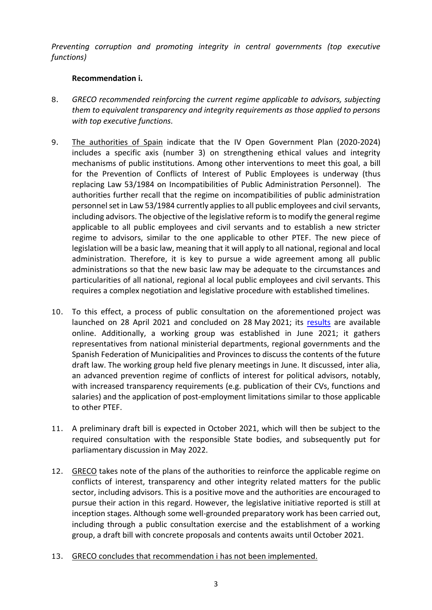*Preventing corruption and promoting integrity in central governments (top executive functions)*

## **Recommendation i.**

- 8. *GRECO recommended reinforcing the current regime applicable to advisors, subjecting them to equivalent transparency and integrity requirements as those applied to persons with top executive functions.*
- 9. The authorities of Spain indicate that the IV Open Government Plan (2020-2024) includes a specific axis (number 3) on strengthening ethical values and integrity mechanisms of public institutions. Among other interventions to meet this goal, a bill for the Prevention of Conflicts of Interest of Public Employees is underway (thus replacing Law 53/1984 on Incompatibilities of Public Administration Personnel). The authorities further recall that the regime on incompatibilities of public administration personnel set in Law 53/1984 currently applies to all public employees and civil servants, including advisors. The objective of the legislative reform is to modify the general regime applicable to all public employees and civil servants and to establish a new stricter regime to advisors, similar to the one applicable to other PTEF. The new piece of legislation will be a basic law, meaning that it will apply to all national, regional and local administration. Therefore, it is key to pursue a wide agreement among all public administrations so that the new basic law may be adequate to the circumstances and particularities of all national, regional al local public employees and civil servants. This requires a complex negotiation and legislative procedure with established timelines.
- 10. To this effect, a process of public consultation on the aforementioned project was launched on 28 April 2021 and concluded on 28 May 2021; its [results](https://www.mptfp.gob.es/dam/es/portal/ministerio/participacion_proyectos/consulta_previa/proyectos/2021/2021-05-29/Nota-resumen-consulta-publica-APL-prevencion-conflictos.pdf#page=1) are available online. Additionally, a working group was established in June 2021; it gathers representatives from national ministerial departments, regional governments and the Spanish Federation of Municipalities and Provinces to discuss the contents of the future draft law. The working group held five plenary meetings in June. It discussed, inter alia, an advanced prevention regime of conflicts of interest for political advisors, notably, with increased transparency requirements (e.g. publication of their CVs, functions and salaries) and the application of post-employment limitations similar to those applicable to other PTEF.
- 11. A preliminary draft bill is expected in October 2021, which will then be subject to the required consultation with the responsible State bodies, and subsequently put for parliamentary discussion in May 2022.
- 12. GRECO takes note of the plans of the authorities to reinforce the applicable regime on conflicts of interest, transparency and other integrity related matters for the public sector, including advisors. This is a positive move and the authorities are encouraged to pursue their action in this regard. However, the legislative initiative reported is still at inception stages. Although some well-grounded preparatory work has been carried out, including through a public consultation exercise and the establishment of a working group, a draft bill with concrete proposals and contents awaits until October 2021.
- 13. GRECO concludes that recommendation i has not been implemented.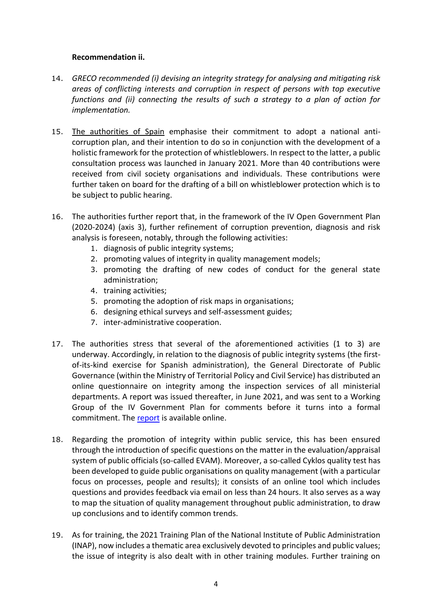## **Recommendation ii.**

- 14. *GRECO recommended (i) devising an integrity strategy for analysing and mitigating risk areas of conflicting interests and corruption in respect of persons with top executive functions and (ii) connecting the results of such a strategy to a plan of action for implementation.*
- 15. The authorities of Spain emphasise their commitment to adopt a national anticorruption plan, and their intention to do so in conjunction with the development of a holistic framework for the protection of whistleblowers. In respect to the latter, a public consultation process was launched in January 2021. More than 40 contributions were received from civil society organisations and individuals. These contributions were further taken on board for the drafting of a bill on whistleblower protection which is to be subject to public hearing.
- 16. The authorities further report that, in the framework of the IV Open Government Plan (2020-2024) (axis 3), further refinement of corruption prevention, diagnosis and risk analysis is foreseen, notably, through the following activities:
	- 1. diagnosis of public integrity systems;
	- 2. promoting values of integrity in quality management models;
	- 3. promoting the drafting of new codes of conduct for the general state administration;
	- 4. training activities;
	- 5. promoting the adoption of risk maps in organisations;
	- 6. designing ethical surveys and self-assessment guides;
	- 7. inter-administrative cooperation.
- 17. The authorities stress that several of the aforementioned activities (1 to 3) are underway. Accordingly, in relation to the diagnosis of public integrity systems (the firstof-its-kind exercise for Spanish administration), the General Directorate of Public Governance (within the Ministry of Territorial Policy and Civil Service) has distributed an online questionnaire on integrity among the inspection services of all ministerial departments. A report was issued thereafter, in June 2021, and was sent to a Working Group of the IV Government Plan for comments before it turns into a formal commitment. The [report](https://transparencia.gob.es/transparencia/transparencia_Home/index/Gobierno-abierto/seguimientoIVPlanGA/seguimiento_C5/5-1-1-Diagnosticointegridad.html) is available online.
- 18. Regarding the promotion of integrity within public service, this has been ensured through the introduction of specific questions on the matter in the evaluation/appraisal system of public officials (so-called EVAM). Moreover, a so-called Cyklos quality test has been developed to guide public organisations on quality management (with a particular focus on processes, people and results); it consists of an online tool which includes questions and provides feedback via email on less than 24 hours. It also serves as a way to map the situation of quality management throughout public administration, to draw up conclusions and to identify common trends.
- 19. As for training, the 2021 Training Plan of the National Institute of Public Administration (INAP), now includes a thematic area exclusively devoted to principles and public values; the issue of integrity is also dealt with in other training modules. Further training on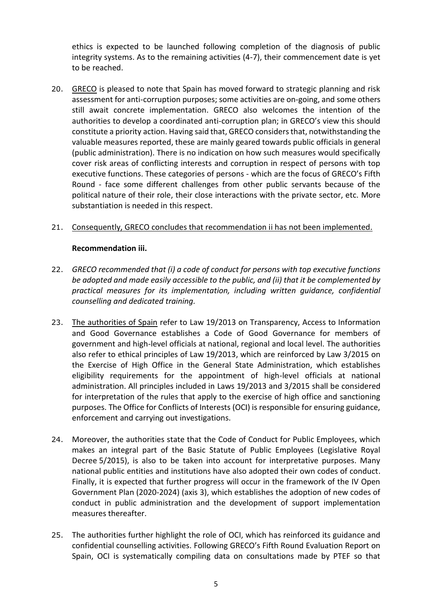ethics is expected to be launched following completion of the diagnosis of public integrity systems. As to the remaining activities (4-7), their commencement date is yet to be reached.

20. GRECO is pleased to note that Spain has moved forward to strategic planning and risk assessment for anti-corruption purposes; some activities are on-going, and some others still await concrete implementation. GRECO also welcomes the intention of the authorities to develop a coordinated anti-corruption plan; in GRECO's view this should constitute a priority action. Having said that, GRECO considers that, notwithstanding the valuable measures reported, these are mainly geared towards public officials in general (public administration). There is no indication on how such measures would specifically cover risk areas of conflicting interests and corruption in respect of persons with top executive functions. These categories of persons - which are the focus of GRECO's Fifth Round - face some different challenges from other public servants because of the political nature of their role, their close interactions with the private sector, etc. More substantiation is needed in this respect.

# 21. Consequently, GRECO concludes that recommendation ii has not been implemented.

# **Recommendation iii.**

- 22. *GRECO recommended that (i) a code of conduct for persons with top executive functions be adopted and made easily accessible to the public, and (ii) that it be complemented by practical measures for its implementation, including written guidance, confidential counselling and dedicated training.*
- 23. The authorities of Spain refer to Law 19/2013 on Transparency, Access to Information and Good Governance establishes a Code of Good Governance for members of government and high-level officials at national, regional and local level. The authorities also refer to ethical principles of Law 19/2013, which are reinforced by Law 3/2015 on the Exercise of High Office in the General State Administration, which establishes eligibility requirements for the appointment of high-level officials at national administration. All principles included in Laws 19/2013 and 3/2015 shall be considered for interpretation of the rules that apply to the exercise of high office and sanctioning purposes. The Office for Conflicts of Interests (OCI) is responsible for ensuring guidance, enforcement and carrying out investigations.
- 24. Moreover, the authorities state that the Code of Conduct for Public Employees, which makes an integral part of the Basic Statute of Public Employees (Legislative Royal Decree 5/2015), is also to be taken into account for interpretative purposes. Many national public entities and institutions have also adopted their own codes of conduct. Finally, it is expected that further progress will occur in the framework of the IV Open Government Plan (2020-2024) (axis 3), which establishes the adoption of new codes of conduct in public administration and the development of support implementation measures thereafter.
- 25. The authorities further highlight the role of OCI, which has reinforced its guidance and confidential counselling activities. Following GRECO's Fifth Round Evaluation Report on Spain, OCI is systematically compiling data on consultations made by PTEF so that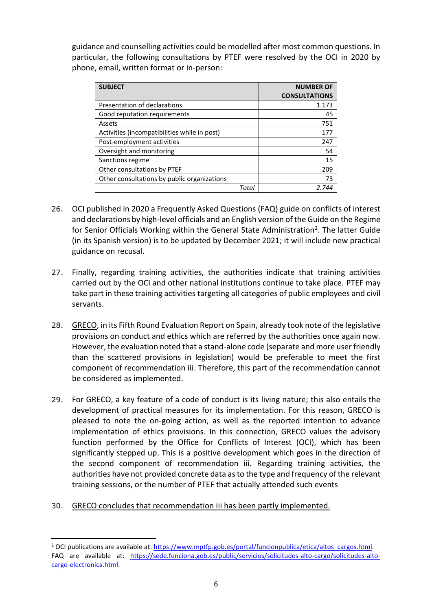guidance and counselling activities could be modelled after most common questions. In particular, the following consultations by PTEF were resolved by the OCI in 2020 by phone, email, written format or in-person:

| <b>SUBJECT</b>                               | <b>NUMBER OF</b>     |
|----------------------------------------------|----------------------|
|                                              | <b>CONSULTATIONS</b> |
| Presentation of declarations                 | 1.173                |
| Good reputation requirements                 | 45                   |
| Assets                                       | 751                  |
| Activities (incompatibilities while in post) | 177                  |
| Post-employment activities                   | 247                  |
| Oversight and monitoring                     | 54                   |
| Sanctions regime                             | 15                   |
| Other consultations by PTEF                  | 209                  |
| Other consultations by public organizations  | 73                   |
| Total                                        | 2 744                |

- 26. OCI published in 2020 a Frequently Asked Questions (FAQ) guide on conflicts of interest and declarations by high-level officials and an English version of the Guide on the Regime for Senior Officials Working within the General State Administration<sup>2</sup>. The latter Guide (in its Spanish version) is to be updated by December 2021; it will include new practical guidance on recusal.
- 27. Finally, regarding training activities, the authorities indicate that training activities carried out by the OCI and other national institutions continue to take place. PTEF may take part in these training activities targeting all categories of public employees and civil servants.
- 28. GRECO, in its Fifth Round Evaluation Report on Spain, already took note of the legislative provisions on conduct and ethics which are referred by the authorities once again now. However, the evaluation noted that a stand-alone code (separate and more user friendly than the scattered provisions in legislation) would be preferable to meet the first component of recommendation iii. Therefore, this part of the recommendation cannot be considered as implemented.
- 29. For GRECO, a key feature of a code of conduct is its living nature; this also entails the development of practical measures for its implementation. For this reason, GRECO is pleased to note the on-going action, as well as the reported intention to advance implementation of ethics provisions. In this connection, GRECO values the advisory function performed by the Office for Conflicts of Interest (OCI), which has been significantly stepped up. This is a positive development which goes in the direction of the second component of recommendation iii. Regarding training activities, the authorities have not provided concrete data as to the type and frequency of the relevant training sessions, or the number of PTEF that actually attended such events
- 30. GRECO concludes that recommendation iii has been partly implemented.

 $\overline{a}$ 

<sup>2</sup> OCI publications are available at: [https://www.mptfp.gob.es/portal/funcionpublica/etica/altos\\_cargos.html](https://www.mptfp.gob.es/portal/funcionpublica/etica/altos_cargos.html)*.* FAQ are available at: [https://sede.funciona.gob.es/public/servicios/solicitudes-alto-cargo/solicitudes-alto](https://sede.funciona.gob.es/public/servicios/solicitudes-alto-cargo/solicitudes-alto-cargo-electronica.html)[cargo-electronica.html.](https://sede.funciona.gob.es/public/servicios/solicitudes-alto-cargo/solicitudes-alto-cargo-electronica.html)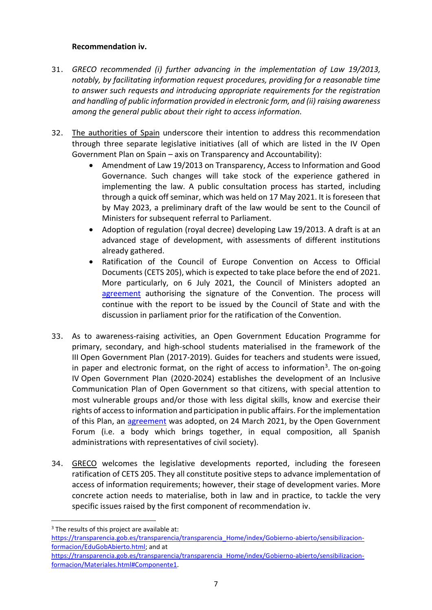# **Recommendation iv.**

 $\overline{a}$ 

- 31. *GRECO recommended (i) further advancing in the implementation of Law 19/2013, notably, by facilitating information request procedures, providing for a reasonable time to answer such requests and introducing appropriate requirements for the registration and handling of public information provided in electronic form, and (ii) raising awareness among the general public about their right to access information.*
- 32. The authorities of Spain underscore their intention to address this recommendation through three separate legislative initiatives (all of which are listed in the IV Open Government Plan on Spain – axis on Transparency and Accountability):
	- Amendment of Law 19/2013 on Transparency, Access to Information and Good Governance. Such changes will take stock of the experience gathered in implementing the law. A public consultation process has started, including through a quick off seminar, which was held on 17 May 2021. It is foreseen that by May 2023, a preliminary draft of the law would be sent to the Council of Ministers for subsequent referral to Parliament.
	- Adoption of regulation (royal decree) developing Law 19/2013. A draft is at an advanced stage of development, with assessments of different institutions already gathered.
	- Ratification of the Council of Europe Convention on Access to Official Documents (CETS 205), which is expected to take place before the end of 2021. More particularly, on 6 July 2021, the Council of Ministers adopted an [agreement](https://www.lamoncloa.gob.es/consejodeministros/referencias/Paginas/2021/refc20210706.aspx#europa) authorising the signature of the Convention. The process will continue with the report to be issued by the Council of State and with the discussion in parliament prior for the ratification of the Convention.
- 33. As to awareness-raising activities, an Open Government Education Programme for primary, secondary, and high-school students materialised in the framework of the III Open Government Plan (2017-2019). Guides for teachers and students were issued, in paper and electronic format, on the right of access to information<sup>3</sup>. The on-going IV Open Government Plan (2020-2024) establishes the development of an Inclusive Communication Plan of Open Government so that citizens, with special attention to most vulnerable groups and/or those with less digital skills, know and exercise their rights of access to information and participation in public affairs. For the implementation of this Plan, an [agreement](https://transparencia.gob.es/transparencia/dam/jcr:d4e4c6ec-3fa8-4004-833a-e24755be53ab/AcuerdoComunicacionInclusiva_24-03-2021.pdf) was adopted, on 24 March 2021, by the Open Government Forum (i.e. a body which brings together, in equal composition, all Spanish administrations with representatives of civil society).
- 34. GRECO welcomes the legislative developments reported, including the foreseen ratification of CETS 205. They all constitute positive steps to advance implementation of access of information requirements; however, their stage of development varies. More concrete action needs to materialise, both in law and in practice, to tackle the very specific issues raised by the first component of recommendation iv.

 $3$  The results of this project are available at: [https://transparencia.gob.es/transparencia/transparencia\\_Home/index/Gobierno-abierto/sensibilizacion](https://transparencia.gob.es/transparencia/transparencia_Home/index/Gobierno-abierto/sensibilizacion-formacion/EduGobAbierto.html)[formacion/EduGobAbierto.html;](https://transparencia.gob.es/transparencia/transparencia_Home/index/Gobierno-abierto/sensibilizacion-formacion/EduGobAbierto.html) and at

[https://transparencia.gob.es/transparencia/transparencia\\_Home/index/Gobierno-abierto/sensibilizacion](https://transparencia.gob.es/transparencia/transparencia_Home/index/Gobierno-abierto/sensibilizacion-formacion/Materiales.html#Componente1)[formacion/Materiales.html#Componente1.](https://transparencia.gob.es/transparencia/transparencia_Home/index/Gobierno-abierto/sensibilizacion-formacion/Materiales.html#Componente1)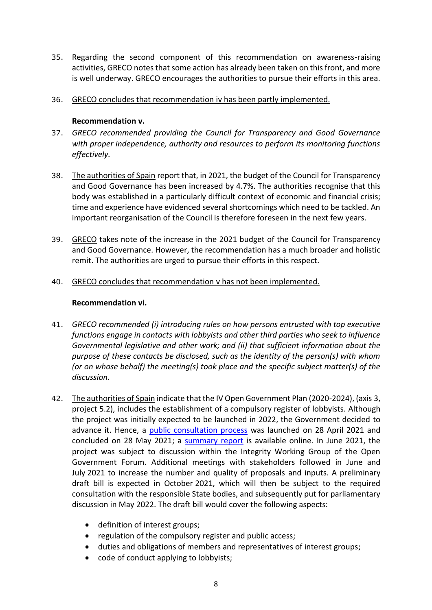- 35. Regarding the second component of this recommendation on awareness-raising activities, GRECO notes that some action has already been taken on this front, and more is well underway. GRECO encourages the authorities to pursue their efforts in this area.
- 36. GRECO concludes that recommendation iv has been partly implemented.

## **Recommendation v.**

- 37. *GRECO recommended providing the Council for Transparency and Good Governance with proper independence, authority and resources to perform its monitoring functions effectively.*
- 38. The authorities of Spain report that, in 2021, the budget of the Council for Transparency and Good Governance has been increased by 4.7%. The authorities recognise that this body was established in a particularly difficult context of economic and financial crisis; time and experience have evidenced several shortcomings which need to be tackled. An important reorganisation of the Council is therefore foreseen in the next few years.
- 39. GRECO takes note of the increase in the 2021 budget of the Council for Transparency and Good Governance. However, the recommendation has a much broader and holistic remit. The authorities are urged to pursue their efforts in this respect.
- 40. GRECO concludes that recommendation v has not been implemented.

## **Recommendation vi.**

- 41. *GRECO recommended (i) introducing rules on how persons entrusted with top executive functions engage in contacts with lobbyists and other third parties who seek to influence Governmental legislative and other work; and (ii) that sufficient information about the purpose of these contacts be disclosed, such as the identity of the person(s) with whom (or on whose behalf) the meeting(s) took place and the specific subject matter(s) of the discussion.*
- 42. The authorities of Spain indicate that the IV Open Government Plan (2020-2024), (axis 3, project 5.2), includes the establishment of a compulsory register of lobbyists. Although the project was initially expected to be launched in 2022, the Government decided to advance it. Hence, a [public consultation process](https://www.mptfp.gob.es/portal/ministerio/participacion_proyectos/consulta_previa/proyectos/2021/2021-05-29_1.html) was launched on 28 April 2021 and concluded on 28 May 2021; a [summary report](https://www.mptfp.gob.es/dam/es/portal/ministerio/participacion_proyectos/consulta_previa/proyectos/2021/2021-05-29_1/Nota-resumen-APL-Grupos-Interes.pdf#page=1) is available online. In June 2021, the project was subject to discussion within the Integrity Working Group of the Open Government Forum. Additional meetings with stakeholders followed in June and July 2021 to increase the number and quality of proposals and inputs. A preliminary draft bill is expected in October 2021, which will then be subject to the required consultation with the responsible State bodies, and subsequently put for parliamentary discussion in May 2022. The draft bill would cover the following aspects:
	- definition of interest groups;
	- regulation of the compulsory register and public access;
	- duties and obligations of members and representatives of interest groups;
	- code of conduct applying to lobbyists;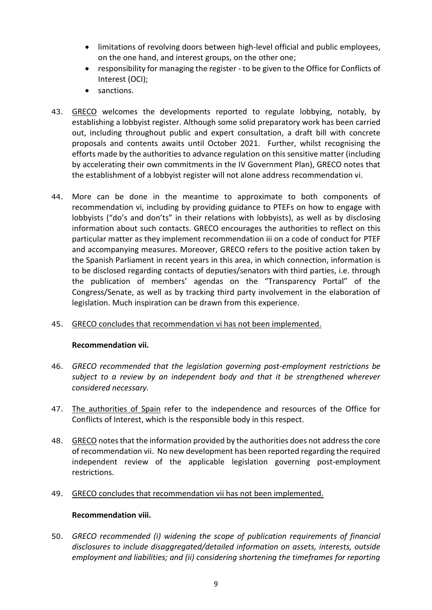- limitations of revolving doors between high-level official and public employees, on the one hand, and interest groups, on the other one;
- responsibility for managing the register to be given to the Office for Conflicts of Interest (OCI);
- sanctions.
- 43. GRECO welcomes the developments reported to regulate lobbying, notably, by establishing a lobbyist register. Although some solid preparatory work has been carried out, including throughout public and expert consultation, a draft bill with concrete proposals and contents awaits until October 2021. Further, whilst recognising the efforts made by the authorities to advance regulation on this sensitive matter (including by accelerating their own commitments in the IV Government Plan), GRECO notes that the establishment of a lobbyist register will not alone address recommendation vi.
- 44. More can be done in the meantime to approximate to both components of recommendation vi, including by providing guidance to PTEFs on how to engage with lobbyists ("do's and don'ts" in their relations with lobbyists), as well as by disclosing information about such contacts. GRECO encourages the authorities to reflect on this particular matter as they implement recommendation iii on a code of conduct for PTEF and accompanying measures. Moreover, GRECO refers to the positive action taken by the Spanish Parliament in recent years in this area, in which connection, information is to be disclosed regarding contacts of deputies/senators with third parties, i.e. through the publication of members' agendas on the "Transparency Portal" of the Congress/Senate, as well as by tracking third party involvement in the elaboration of legislation. Much inspiration can be drawn from this experience.

# 45. GRECO concludes that recommendation vi has not been implemented.

#### **Recommendation vii.**

- 46. *GRECO recommended that the legislation governing post-employment restrictions be subject to a review by an independent body and that it be strengthened wherever considered necessary.*
- 47. The authorities of Spain refer to the independence and resources of the Office for Conflicts of Interest, which is the responsible body in this respect.
- 48. GRECO notes that the information provided by the authorities does not address the core of recommendation vii. No new development has been reported regarding the required independent review of the applicable legislation governing post-employment restrictions.
- 49. GRECO concludes that recommendation vii has not been implemented.

#### **Recommendation viii.**

50. *GRECO recommended (i) widening the scope of publication requirements of financial disclosures to include disaggregated/detailed information on assets, interests, outside employment and liabilities; and (ii) considering shortening the timeframes for reporting*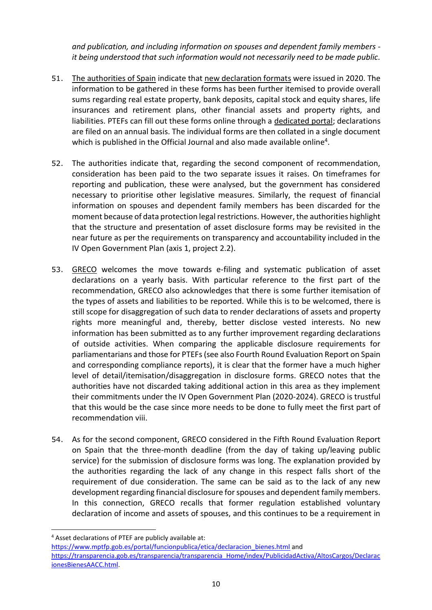*and publication, and including information on spouses and dependent family members it being understood that such information would not necessarily need to be made public.*

- 51. The authorities of Spain indicate that [new declaration formats](https://www.boe.es/boe/dias/2020/01/10/pdfs/BOE-A-2020-345.pdf) were issued in 2020. The information to be gathered in these forms has been further itemised to provide overall sums regarding real estate property, bank deposits, capital stock and equity shares, life insurances and retirement plans, other financial assets and property rights, and liabilities. PTEFs can fill out these forms online through a [dedicated portal;](https://sede.funciona.gob.es/public/servicios/solicitudes-alto-cargo) declarations are filed on an annual basis. The individual forms are then collated in a single document which is published in the Official Journal and also made available online<sup>4</sup>.
- 52. The authorities indicate that, regarding the second component of recommendation, consideration has been paid to the two separate issues it raises. On timeframes for reporting and publication, these were analysed, but the government has considered necessary to prioritise other legislative measures. Similarly, the request of financial information on spouses and dependent family members has been discarded for the moment because of data protection legal restrictions. However, the authorities highlight that the structure and presentation of asset disclosure forms may be revisited in the near future as per the requirements on transparency and accountability included in the IV Open Government Plan (axis 1, project 2.2).
- 53. GRECO welcomes the move towards e-filing and systematic publication of asset declarations on a yearly basis. With particular reference to the first part of the recommendation, GRECO also acknowledges that there is some further itemisation of the types of assets and liabilities to be reported. While this is to be welcomed, there is still scope for disaggregation of such data to render declarations of assets and property rights more meaningful and, thereby, better disclose vested interests. No new information has been submitted as to any further improvement regarding declarations of outside activities. When comparing the applicable disclosure requirements for parliamentarians and those for PTEFs(see also Fourth Round Evaluation Report on Spain and corresponding compliance reports), it is clear that the former have a much higher level of detail/itemisation/disaggregation in disclosure forms. GRECO notes that the authorities have not discarded taking additional action in this area as they implement their commitments under the IV Open Government Plan (2020-2024). GRECO is trustful that this would be the case since more needs to be done to fully meet the first part of recommendation viii.
- 54. As for the second component, GRECO considered in the Fifth Round Evaluation Report on Spain that the three-month deadline (from the day of taking up/leaving public service) for the submission of disclosure forms was long. The explanation provided by the authorities regarding the lack of any change in this respect falls short of the requirement of due consideration. The same can be said as to the lack of any new development regarding financial disclosure for spouses and dependent family members. In this connection, GRECO recalls that former regulation established voluntary declaration of income and assets of spouses, and this continues to be a requirement in

 $\overline{\phantom{a}}$ 

<sup>4</sup> Asset declarations of PTEF are publicly available at: [https://www.mptfp.gob.es/portal/funcionpublica/etica/declaracion\\_bienes.html](https://www.mptfp.gob.es/portal/funcionpublica/etica/declaracion_bienes.html) and [https://transparencia.gob.es/transparencia/transparencia\\_Home/index/PublicidadActiva/AltosCargos/Declarac](https://transparencia.gob.es/transparencia/transparencia_Home/index/PublicidadActiva/AltosCargos/DeclaracionesBienesAACC.html) [ionesBienesAACC.html.](https://transparencia.gob.es/transparencia/transparencia_Home/index/PublicidadActiva/AltosCargos/DeclaracionesBienesAACC.html)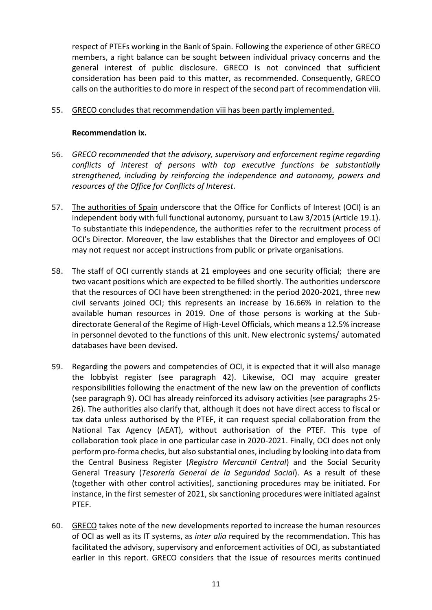respect of PTEFs working in the Bank of Spain. Following the experience of other GRECO members, a right balance can be sought between individual privacy concerns and the general interest of public disclosure. GRECO is not convinced that sufficient consideration has been paid to this matter, as recommended. Consequently, GRECO calls on the authorities to do more in respect of the second part of recommendation viii.

#### 55. GRECO concludes that recommendation viii has been partly implemented.

## **Recommendation ix.**

- 56. *GRECO recommended that the advisory, supervisory and enforcement regime regarding conflicts of interest of persons with top executive functions be substantially strengthened, including by reinforcing the independence and autonomy, powers and resources of the Office for Conflicts of Interest.*
- 57. The authorities of Spain underscore that the Office for Conflicts of Interest (OCI) is an independent body with full functional autonomy, pursuant to Law 3/2015 (Article 19.1). To substantiate this independence, the authorities refer to the recruitment process of OCI's Director. Moreover, the law establishes that the Director and employees of OCI may not request nor accept instructions from public or private organisations.
- 58. The staff of OCI currently stands at 21 employees and one security official; there are two vacant positions which are expected to be filled shortly. The authorities underscore that the resources of OCI have been strengthened: in the period 2020-2021, three new civil servants joined OCI; this represents an increase by 16.66% in relation to the available human resources in 2019. One of those persons is working at the Subdirectorate General of the Regime of High-Level Officials, which means a 12.5% increase in personnel devoted to the functions of this unit. New electronic systems/ automated databases have been devised.
- 59. Regarding the powers and competencies of OCI, it is expected that it will also manage the lobbyist register (see paragraph 42). Likewise, OCI may acquire greater responsibilities following the enactment of the new law on the prevention of conflicts (see paragraph 9). OCI has already reinforced its advisory activities (see paragraphs 25- 26). The authorities also clarify that, although it does not have direct access to fiscal or tax data unless authorised by the PTEF, it can request special collaboration from the National Tax Agency (AEAT), without authorisation of the PTEF. This type of collaboration took place in one particular case in 2020-2021. Finally, OCI does not only perform pro-forma checks, but also substantial ones, including by looking into data from the Central Business Register (*Registro Mercantil Central*) and the Social Security General Treasury (*Tesorería General de la Seguridad Social*). As a result of these (together with other control activities), sanctioning procedures may be initiated. For instance, in the first semester of 2021, six sanctioning procedures were initiated against PTEF.
- 60. GRECO takes note of the new developments reported to increase the human resources of OCI as well as its IT systems, as *inter alia* required by the recommendation. This has facilitated the advisory, supervisory and enforcement activities of OCI, as substantiated earlier in this report. GRECO considers that the issue of resources merits continued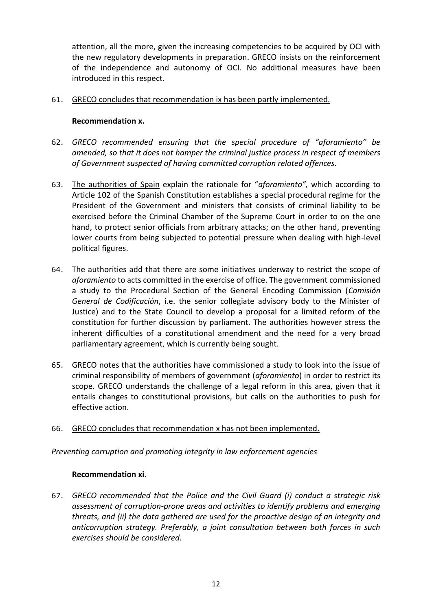attention, all the more, given the increasing competencies to be acquired by OCI with the new regulatory developments in preparation. GRECO insists on the reinforcement of the independence and autonomy of OCI. No additional measures have been introduced in this respect.

## 61. GRECO concludes that recommendation ix has been partly implemented.

## **Recommendation x.**

- 62. *GRECO recommended ensuring that the special procedure of "aforamiento" be amended, so that it does not hamper the criminal justice process in respect of members of Government suspected of having committed corruption related offences.*
- 63. The authorities of Spain explain the rationale for "*aforamiento",* which according to Article 102 of the Spanish Constitution establishes a special procedural regime for the President of the Government and ministers that consists of criminal liability to be exercised before the Criminal Chamber of the Supreme Court in order to on the one hand, to protect senior officials from arbitrary attacks; on the other hand, preventing lower courts from being subjected to potential pressure when dealing with high-level political figures.
- 64. The authorities add that there are some initiatives underway to restrict the scope of *aforamiento* to acts committed in the exercise of office. The government commissioned a study to the Procedural Section of the General Encoding Commission (*Comisión General de Codificación*, i.e. the senior collegiate advisory body to the Minister of Justice) and to the State Council to develop a proposal for a limited reform of the constitution for further discussion by parliament. The authorities however stress the inherent difficulties of a constitutional amendment and the need for a very broad parliamentary agreement, which is currently being sought.
- 65. GRECO notes that the authorities have commissioned a study to look into the issue of criminal responsibility of members of government (*aforamiento*) in order to restrict its scope. GRECO understands the challenge of a legal reform in this area, given that it entails changes to constitutional provisions, but calls on the authorities to push for effective action.

# 66. GRECO concludes that recommendation x has not been implemented.

*Preventing corruption and promoting integrity in law enforcement agencies*

# **Recommendation xi.**

67. *GRECO recommended that the Police and the Civil Guard (i) conduct a strategic risk assessment of corruption-prone areas and activities to identify problems and emerging threats, and (ii) the data gathered are used for the proactive design of an integrity and anticorruption strategy. Preferably, a joint consultation between both forces in such exercises should be considered.*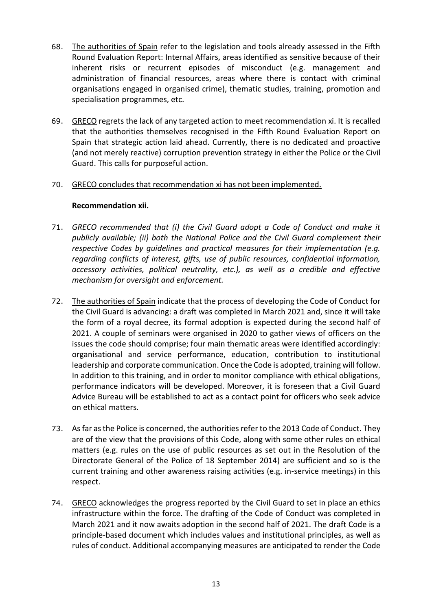- 68. The authorities of Spain refer to the legislation and tools already assessed in the Fifth Round Evaluation Report: Internal Affairs, areas identified as sensitive because of their inherent risks or recurrent episodes of misconduct (e.g. management and administration of financial resources, areas where there is contact with criminal organisations engaged in organised crime), thematic studies, training, promotion and specialisation programmes, etc.
- 69. GRECO regrets the lack of any targeted action to meet recommendation xi. It is recalled that the authorities themselves recognised in the Fifth Round Evaluation Report on Spain that strategic action laid ahead. Currently, there is no dedicated and proactive (and not merely reactive) corruption prevention strategy in either the Police or the Civil Guard. This calls for purposeful action.

## 70. GRECO concludes that recommendation xi has not been implemented.

## **Recommendation xii.**

- 71. *GRECO recommended that (i) the Civil Guard adopt a Code of Conduct and make it publicly available; (ii) both the National Police and the Civil Guard complement their respective Codes by guidelines and practical measures for their implementation (e.g. regarding conflicts of interest, gifts, use of public resources, confidential information, accessory activities, political neutrality, etc.), as well as a credible and effective mechanism for oversight and enforcement.*
- 72. The authorities of Spain indicate that the process of developing the Code of Conduct for the Civil Guard is advancing: a draft was completed in March 2021 and, since it will take the form of a royal decree, its formal adoption is expected during the second half of 2021. A couple of seminars were organised in 2020 to gather views of officers on the issues the code should comprise; four main thematic areas were identified accordingly: organisational and service performance, education, contribution to institutional leadership and corporate communication. Once the Code is adopted, training will follow. In addition to this training, and in order to monitor compliance with ethical obligations, performance indicators will be developed. Moreover, it is foreseen that a Civil Guard Advice Bureau will be established to act as a contact point for officers who seek advice on ethical matters.
- 73. As far as the Police is concerned, the authorities refer to the 2013 Code of Conduct. They are of the view that the provisions of this Code, along with some other rules on ethical matters (e.g. rules on the use of public resources as set out in the Resolution of the Directorate General of the Police of 18 September 2014) are sufficient and so is the current training and other awareness raising activities (e.g. in-service meetings) in this respect.
- 74. GRECO acknowledges the progress reported by the Civil Guard to set in place an ethics infrastructure within the force. The drafting of the Code of Conduct was completed in March 2021 and it now awaits adoption in the second half of 2021. The draft Code is a principle-based document which includes values and institutional principles, as well as rules of conduct. Additional accompanying measures are anticipated to render the Code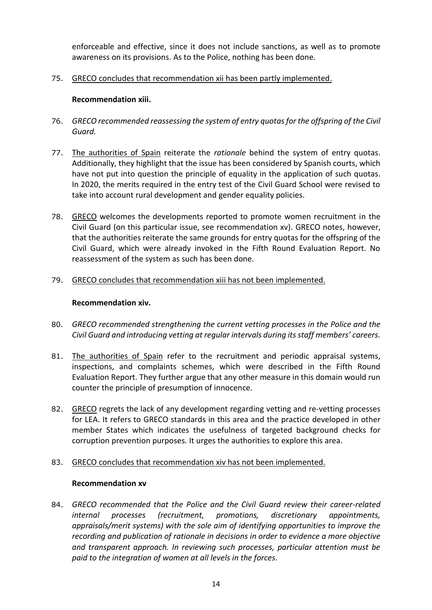enforceable and effective, since it does not include sanctions, as well as to promote awareness on its provisions. As to the Police, nothing has been done.

75. GRECO concludes that recommendation xii has been partly implemented.

## **Recommendation xiii.**

- 76. *GRECO recommended reassessing the system of entry quotas for the offspring of the Civil Guard.*
- 77. The authorities of Spain reiterate the *rationale* behind the system of entry quotas. Additionally, they highlight that the issue has been considered by Spanish courts, which have not put into question the principle of equality in the application of such quotas. In 2020, the merits required in the entry test of the Civil Guard School were revised to take into account rural development and gender equality policies.
- 78. GRECO welcomes the developments reported to promote women recruitment in the Civil Guard (on this particular issue, see recommendation xv). GRECO notes, however, that the authorities reiterate the same grounds for entry quotas for the offspring of the Civil Guard, which were already invoked in the Fifth Round Evaluation Report. No reassessment of the system as such has been done.
- 79. GRECO concludes that recommendation xiii has not been implemented.

## **Recommendation xiv.**

- 80. *GRECO recommended strengthening the current vetting processes in the Police and the Civil Guard and introducing vetting at regular intervals during its staff members' careers.*
- 81. The authorities of Spain refer to the recruitment and periodic appraisal systems, inspections, and complaints schemes, which were described in the Fifth Round Evaluation Report. They further argue that any other measure in this domain would run counter the principle of presumption of innocence.
- 82. GRECO regrets the lack of any development regarding vetting and re-vetting processes for LEA. It refers to GRECO standards in this area and the practice developed in other member States which indicates the usefulness of targeted background checks for corruption prevention purposes. It urges the authorities to explore this area.
- 83. GRECO concludes that recommendation xiv has not been implemented.

#### **Recommendation xv**

84. *GRECO recommended that the Police and the Civil Guard review their career-related internal processes (recruitment, promotions, discretionary appointments, appraisals/merit systems) with the sole aim of identifying opportunities to improve the recording and publication of rationale in decisions in order to evidence a more objective and transparent approach. In reviewing such processes, particular attention must be paid to the integration of women at all levels in the forces.*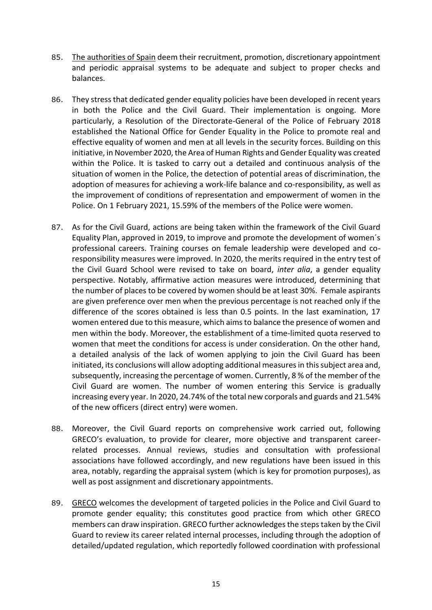- 85. The authorities of Spain deem their recruitment, promotion, discretionary appointment and periodic appraisal systems to be adequate and subject to proper checks and balances.
- 86. They stress that dedicated gender equality policies have been developed in recent years in both the Police and the Civil Guard. Their implementation is ongoing. More particularly, a Resolution of the Directorate-General of the Police of February 2018 established the National Office for Gender Equality in the Police to promote real and effective equality of women and men at all levels in the security forces. Building on this initiative, in November 2020, the Area of Human Rights and Gender Equality was created within the Police. It is tasked to carry out a detailed and continuous analysis of the situation of women in the Police, the detection of potential areas of discrimination, the adoption of measures for achieving a work-life balance and co-responsibility, as well as the improvement of conditions of representation and empowerment of women in the Police. On 1 February 2021, 15.59% of the members of the Police were women.
- 87. As for the Civil Guard, actions are being taken within the framework of the Civil Guard Equality Plan, approved in 2019, to improve and promote the development of women´s professional careers. Training courses on female leadership were developed and coresponsibility measures were improved. In 2020, the merits required in the entry test of the Civil Guard School were revised to take on board, *inter alia*, a gender equality perspective. Notably, affirmative action measures were introduced, determining that the number of places to be covered by women should be at least 30%. Female aspirants are given preference over men when the previous percentage is not reached only if the difference of the scores obtained is less than 0.5 points. In the last examination, 17 women entered due to this measure, which aims to balance the presence of women and men within the body. Moreover, the establishment of a time-limited quota reserved to women that meet the conditions for access is under consideration. On the other hand, a detailed analysis of the lack of women applying to join the Civil Guard has been initiated, its conclusions will allow adopting additional measures in this subject area and, subsequently, increasing the percentage of women. Currently, 8 % of the member of the Civil Guard are women. The number of women entering this Service is gradually increasing every year. In 2020, 24.74% of the total new corporals and guards and 21.54% of the new officers (direct entry) were women.
- 88. Moreover, the Civil Guard reports on comprehensive work carried out, following GRECO's evaluation, to provide for clearer, more objective and transparent careerrelated processes. Annual reviews, studies and consultation with professional associations have followed accordingly, and new regulations have been issued in this area, notably, regarding the appraisal system (which is key for promotion purposes), as well as post assignment and discretionary appointments.
- 89. GRECO welcomes the development of targeted policies in the Police and Civil Guard to promote gender equality; this constitutes good practice from which other GRECO members can draw inspiration. GRECO further acknowledges the steps taken by the Civil Guard to review its career related internal processes, including through the adoption of detailed/updated regulation, which reportedly followed coordination with professional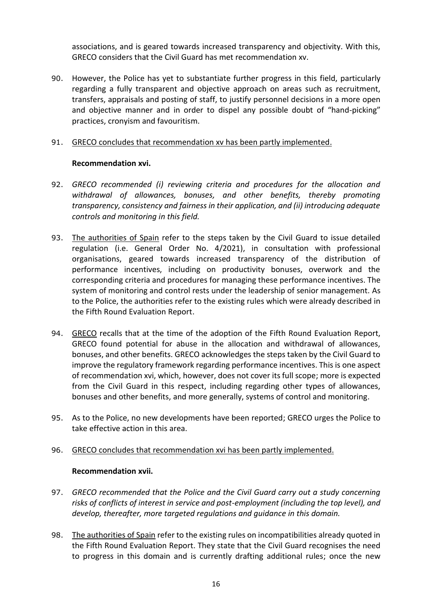associations, and is geared towards increased transparency and objectivity. With this, GRECO considers that the Civil Guard has met recommendation xv.

90. However, the Police has yet to substantiate further progress in this field, particularly regarding a fully transparent and objective approach on areas such as recruitment, transfers, appraisals and posting of staff, to justify personnel decisions in a more open and objective manner and in order to dispel any possible doubt of "hand-picking" practices, cronyism and favouritism.

## 91. GRECO concludes that recommendation xv has been partly implemented.

## **Recommendation xvi.**

- 92. *GRECO recommended (i) reviewing criteria and procedures for the allocation and withdrawal of allowances, bonuses, and other benefits, thereby promoting transparency, consistency and fairness in their application, and (ii) introducing adequate controls and monitoring in this field.*
- 93. The authorities of Spain refer to the steps taken by the Civil Guard to issue detailed regulation (i.e. General Order No. 4/2021), in consultation with professional organisations, geared towards increased transparency of the distribution of performance incentives, including on productivity bonuses, overwork and the corresponding criteria and procedures for managing these performance incentives. The system of monitoring and control rests under the leadership of senior management. As to the Police, the authorities refer to the existing rules which were already described in the Fifth Round Evaluation Report.
- 94. GRECO recalls that at the time of the adoption of the Fifth Round Evaluation Report, GRECO found potential for abuse in the allocation and withdrawal of allowances, bonuses, and other benefits. GRECO acknowledges the steps taken by the Civil Guard to improve the regulatory framework regarding performance incentives. This is one aspect of recommendation xvi, which, however, does not cover its full scope; more is expected from the Civil Guard in this respect, including regarding other types of allowances, bonuses and other benefits, and more generally, systems of control and monitoring.
- 95. As to the Police, no new developments have been reported; GRECO urges the Police to take effective action in this area.

# 96. GRECO concludes that recommendation xvi has been partly implemented.

#### **Recommendation xvii.**

- 97. *GRECO recommended that the Police and the Civil Guard carry out a study concerning risks of conflicts of interest in service and post-employment (including the top level), and develop, thereafter, more targeted regulations and guidance in this domain.*
- 98. The authorities of Spain refer to the existing rules on incompatibilities already quoted in the Fifth Round Evaluation Report. They state that the Civil Guard recognises the need to progress in this domain and is currently drafting additional rules; once the new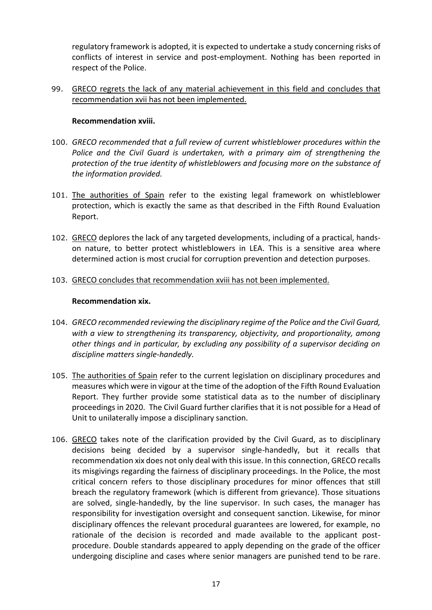regulatory framework is adopted, it is expected to undertake a study concerning risks of conflicts of interest in service and post-employment. Nothing has been reported in respect of the Police.

99. GRECO regrets the lack of any material achievement in this field and concludes that recommendation xvii has not been implemented.

## **Recommendation xviii.**

- 100. *GRECO recommended that a full review of current whistleblower procedures within the Police and the Civil Guard is undertaken, with a primary aim of strengthening the protection of the true identity of whistleblowers and focusing more on the substance of the information provided.*
- 101. The authorities of Spain refer to the existing legal framework on whistleblower protection, which is exactly the same as that described in the Fifth Round Evaluation Report.
- 102. GRECO deplores the lack of any targeted developments, including of a practical, handson nature, to better protect whistleblowers in LEA. This is a sensitive area where determined action is most crucial for corruption prevention and detection purposes.
- 103. GRECO concludes that recommendation xviii has not been implemented.

#### **Recommendation xix.**

- 104. *GRECO recommended reviewing the disciplinary regime of the Police and the Civil Guard, with a view to strengthening its transparency, objectivity, and proportionality, among other things and in particular, by excluding any possibility of a supervisor deciding on discipline matters single-handedly.*
- 105. The authorities of Spain refer to the current legislation on disciplinary procedures and measures which were in vigour at the time of the adoption of the Fifth Round Evaluation Report. They further provide some statistical data as to the number of disciplinary proceedings in 2020. The Civil Guard further clarifies that it is not possible for a Head of Unit to unilaterally impose a disciplinary sanction.
- 106. GRECO takes note of the clarification provided by the Civil Guard, as to disciplinary decisions being decided by a supervisor single-handedly, but it recalls that recommendation xix does not only deal with this issue. In this connection, GRECO recalls its misgivings regarding the fairness of disciplinary proceedings. In the Police, the most critical concern refers to those disciplinary procedures for minor offences that still breach the regulatory framework (which is different from grievance). Those situations are solved, single-handedly, by the line supervisor. In such cases, the manager has responsibility for investigation oversight and consequent sanction. Likewise, for minor disciplinary offences the relevant procedural guarantees are lowered, for example, no rationale of the decision is recorded and made available to the applicant postprocedure. Double standards appeared to apply depending on the grade of the officer undergoing discipline and cases where senior managers are punished tend to be rare.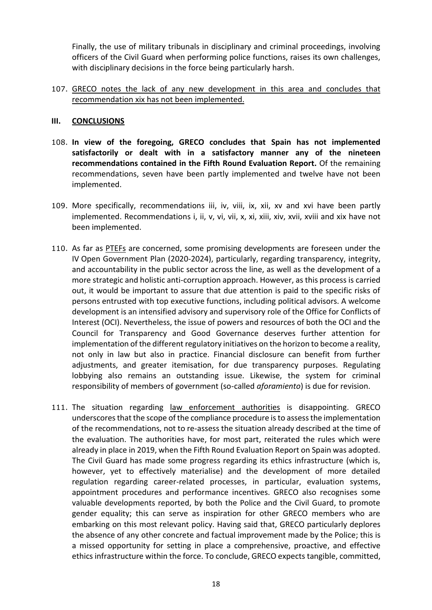Finally, the use of military tribunals in disciplinary and criminal proceedings, involving officers of the Civil Guard when performing police functions, raises its own challenges, with disciplinary decisions in the force being particularly harsh.

## 107. GRECO notes the lack of any new development in this area and concludes that recommendation xix has not been implemented.

#### **III. CONCLUSIONS**

- 108. **In view of the foregoing, GRECO concludes that Spain has not implemented satisfactorily or dealt with in a satisfactory manner any of the nineteen recommendations contained in the Fifth Round Evaluation Report.** Of the remaining recommendations, seven have been partly implemented and twelve have not been implemented.
- 109. More specifically, recommendations iii, iv, viii, ix, xii, xv and xvi have been partly implemented. Recommendations i, ii, v, vi, vii, x, xi, xiii, xiv, xvii, xviii and xix have not been implemented.
- 110. As far as PTEFs are concerned, some promising developments are foreseen under the IV Open Government Plan (2020-2024), particularly, regarding transparency, integrity, and accountability in the public sector across the line, as well as the development of a more strategic and holistic anti-corruption approach. However, as this process is carried out, it would be important to assure that due attention is paid to the specific risks of persons entrusted with top executive functions, including political advisors. A welcome development is an intensified advisory and supervisory role of the Office for Conflicts of Interest (OCI). Nevertheless, the issue of powers and resources of both the OCI and the Council for Transparency and Good Governance deserves further attention for implementation of the different regulatory initiatives on the horizon to become a reality, not only in law but also in practice. Financial disclosure can benefit from further adjustments, and greater itemisation, for due transparency purposes. Regulating lobbying also remains an outstanding issue. Likewise, the system for criminal responsibility of members of government (so-called *aforamiento*) is due for revision.
- 111. The situation regarding law enforcement authorities is disappointing. GRECO underscores that the scope of the compliance procedure is to assess the implementation of the recommendations, not to re-assess the situation already described at the time of the evaluation. The authorities have, for most part, reiterated the rules which were already in place in 2019, when the Fifth Round Evaluation Report on Spain was adopted. The Civil Guard has made some progress regarding its ethics infrastructure (which is, however, yet to effectively materialise) and the development of more detailed regulation regarding career-related processes, in particular, evaluation systems, appointment procedures and performance incentives. GRECO also recognises some valuable developments reported, by both the Police and the Civil Guard, to promote gender equality; this can serve as inspiration for other GRECO members who are embarking on this most relevant policy. Having said that, GRECO particularly deplores the absence of any other concrete and factual improvement made by the Police; this is a missed opportunity for setting in place a comprehensive, proactive, and effective ethics infrastructure within the force. To conclude, GRECO expects tangible, committed,